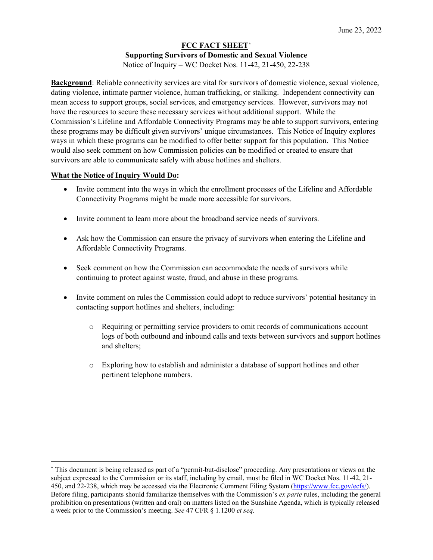### **FCC FACT SHEET[\\*](#page-0-0) Supporting Survivors of Domestic and Sexual Violence** Notice of Inquiry – WC Docket Nos. 11-42, 21-450, 22-238

**Background**: Reliable connectivity services are vital for survivors of domestic violence, sexual violence, dating violence, intimate partner violence, human trafficking, or stalking. Independent connectivity can mean access to support groups, social services, and emergency services. However, survivors may not have the resources to secure these necessary services without additional support. While the Commission's Lifeline and Affordable Connectivity Programs may be able to support survivors, entering these programs may be difficult given survivors' unique circumstances. This Notice of Inquiry explores ways in which these programs can be modified to offer better support for this population. This Notice would also seek comment on how Commission policies can be modified or created to ensure that survivors are able to communicate safely with abuse hotlines and shelters.

### **What the Notice of Inquiry Would Do:**

- Invite comment into the ways in which the enrollment processes of the Lifeline and Affordable Connectivity Programs might be made more accessible for survivors.
- Invite comment to learn more about the broadband service needs of survivors.
- Ask how the Commission can ensure the privacy of survivors when entering the Lifeline and Affordable Connectivity Programs.
- Seek comment on how the Commission can accommodate the needs of survivors while continuing to protect against waste, fraud, and abuse in these programs.
- Invite comment on rules the Commission could adopt to reduce survivors' potential hesitancy in contacting support hotlines and shelters, including:
	- o Requiring or permitting service providers to omit records of communications account logs of both outbound and inbound calls and texts between survivors and support hotlines and shelters;
	- o Exploring how to establish and administer a database of support hotlines and other pertinent telephone numbers.

<span id="page-0-0"></span><sup>\*</sup> This document is being released as part of a "permit-but-disclose" proceeding. Any presentations or views on the subject expressed to the Commission or its staff, including by email, must be filed in WC Docket Nos. 11-42, 21- 450, and 22-238, which may be accessed via the Electronic Comment Filing System [\(https://www.fcc.gov/ecfs/\)](https://www.fcc.gov/ecfs/). Before filing, participants should familiarize themselves with the Commission's *ex parte* rules, including the general prohibition on presentations (written and oral) on matters listed on the Sunshine Agenda, which is typically released a week prior to the Commission's meeting. *See* 47 CFR § 1.1200 *et seq.*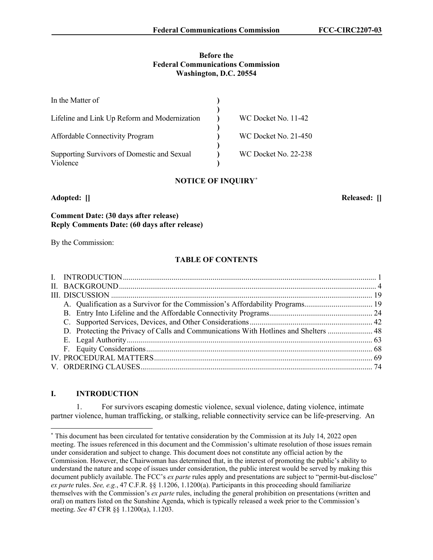#### **Before the Federal Communications Commission Washington, D.C. 20554**

| In the Matter of                                        |                      |
|---------------------------------------------------------|----------------------|
| Lifeline and Link Up Reform and Modernization           | WC Docket No. 11-42  |
| Affordable Connectivity Program                         | WC Docket No. 21-450 |
| Supporting Survivors of Domestic and Sexual<br>Violence | WC Docket No. 22-238 |

### **NOTICE OF INQUIRY[\\*](#page-1-0)**

**Adopted: [] Released: []**

## **Comment Date: (30 days after release) Reply Comments Date: (60 days after release)**

By the Commission:

#### **TABLE OF CONTENTS**

| D. Protecting the Privacy of Calls and Communications With Hotlines and Shelters  48 |  |
|--------------------------------------------------------------------------------------|--|
|                                                                                      |  |
|                                                                                      |  |
|                                                                                      |  |
|                                                                                      |  |

#### **I. INTRODUCTION**

1. For survivors escaping domestic violence, sexual violence, dating violence, intimate partner violence, human trafficking, or stalking, reliable connectivity service can be life-preserving. An

<span id="page-1-0"></span><sup>\*</sup> This document has been circulated for tentative consideration by the Commission at its July 14, 2022 open meeting. The issues referenced in this document and the Commission's ultimate resolution of those issues remain under consideration and subject to change. This document does not constitute any official action by the Commission. However, the Chairwoman has determined that, in the interest of promoting the public's ability to understand the nature and scope of issues under consideration, the public interest would be served by making this document publicly available. The FCC's *ex parte* rules apply and presentations are subject to "permit-but-disclose" *ex parte* rules. *See, e.g.*, 47 C.F.R. §§ 1.1206, 1.1200(a). Participants in this proceeding should familiarize themselves with the Commission's *ex parte* rules, including the general prohibition on presentations (written and oral) on matters listed on the Sunshine Agenda, which is typically released a week prior to the Commission's meeting. *See* 47 CFR §§ 1.1200(a), 1.1203.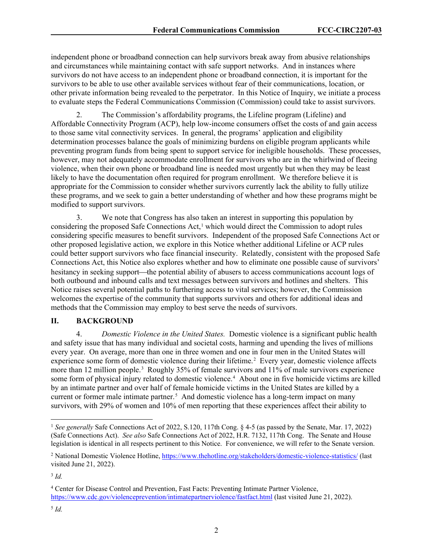independent phone or broadband connection can help survivors break away from abusive relationships and circumstances while maintaining contact with safe support networks. And in instances where survivors do not have access to an independent phone or broadband connection, it is important for the survivors to be able to use other available services without fear of their communications, location, or other private information being revealed to the perpetrator. In this Notice of Inquiry, we initiate a process to evaluate steps the Federal Communications Commission (Commission) could take to assist survivors.

The Commission's affordability programs, the Lifeline program (Lifeline) and Affordable Connectivity Program (ACP), help low-income consumers offset the costs of and gain access to those same vital connectivity services. In general, the programs' application and eligibility determination processes balance the goals of minimizing burdens on eligible program applicants while preventing program funds from being spent to support service for ineligible households. These processes, however, may not adequately accommodate enrollment for survivors who are in the whirlwind of fleeing violence, when their own phone or broadband line is needed most urgently but when they may be least likely to have the documentation often required for program enrollment. We therefore believe it is appropriate for the Commission to consider whether survivors currently lack the ability to fully utilize these programs, and we seek to gain a better understanding of whether and how these programs might be modified to support survivors.

3. We note that Congress has also taken an interest in supporting this population by considering the proposed Safe Connections Act,<sup>[1](#page-2-0)</sup> which would direct the Commission to adopt rules considering specific measures to benefit survivors. Independent of the proposed Safe Connections Act or other proposed legislative action, we explore in this Notice whether additional Lifeline or ACP rules could better support survivors who face financial insecurity. Relatedly, consistent with the proposed Safe Connections Act, this Notice also explores whether and how to eliminate one possible cause of survivors' hesitancy in seeking support—the potential ability of abusers to access communications account logs of both outbound and inbound calls and text messages between survivors and hotlines and shelters. This Notice raises several potential paths to furthering access to vital services; however, the Commission welcomes the expertise of the community that supports survivors and others for additional ideas and methods that the Commission may employ to best serve the needs of survivors.

### **II. BACKGROUND**

4. *Domestic Violence in the United States.* Domestic violence is a significant public health and safety issue that has many individual and societal costs, harming and upending the lives of millions every year. On average, more than one in three women and one in four men in the United States will experience some form of domestic violence during their lifetime. [2](#page-2-1) Every year, domestic violence affects more than 12 million people.<sup>[3](#page-2-2)</sup> Roughly 35% of female survivors and 11% of male survivors experience some form of physical injury related to domestic violence. [4](#page-2-3) About one in five homicide victims are killed by an intimate partner and over half of female homicide victims in the United States are killed by a current or former male intimate partner.<sup>[5](#page-2-4)</sup> And domestic violence has a long-term impact on many survivors, with 29% of women and 10% of men reporting that these experiences affect their ability to

<span id="page-2-0"></span><sup>1</sup> *See generally* Safe Connections Act of 2022, S.120, 117th Cong. § 4-5 (as passed by the Senate, Mar. 17, 2022) (Safe Connections Act). *See also* Safe Connections Act of 2022, H.R. 7132, 117th Cong. The Senate and House legislation is identical in all respects pertinent to this Notice. For convenience, we will refer to the Senate version.

<span id="page-2-1"></span><sup>&</sup>lt;sup>2</sup> National Domestic Violence Hotline,<https://www.thehotline.org/stakeholders/domestic-violence-statistics/> (last visited June 21, 2022).

<span id="page-2-2"></span><sup>3</sup> *Id.*

<span id="page-2-4"></span><span id="page-2-3"></span><sup>4</sup> Center for Disease Control and Prevention, Fast Facts: Preventing Intimate Partner Violence, <https://www.cdc.gov/violenceprevention/intimatepartnerviolence/fastfact.html> (last visited June 21, 2022).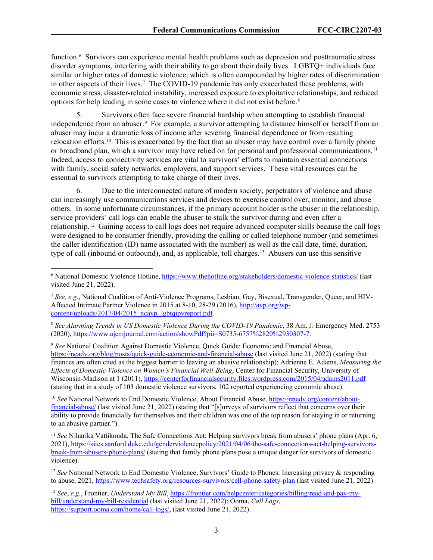function.<sup>[6](#page-3-0)</sup> Survivors can experience mental health problems such as depression and posttraumatic stress disorder symptoms, interfering with their ability to go about their daily lives. LGBTQ+ individuals face similar or higher rates of domestic violence, which is often compounded by higher rates of discrimination in other aspects of their lives.<sup>[7](#page-3-1)</sup> The COVID-19 pandemic has only exacerbated these problems, with economic stress, disaster‐related instability, increased exposure to exploitative relationships, and reduced options for help leading in some cases to violence where it did not exist before.[8](#page-3-2)

5. Survivors often face severe financial hardship when attempting to establish financial independence from an abuser.<sup>[9](#page-3-3)</sup> For example, a survivor attempting to distance himself or herself from an abuser may incur a dramatic loss of income after severing financial dependence or from resulting relocation efforts.[10](#page-3-4) This is exacerbated by the fact that an abuser may have control over a family phone or broadband plan, which a survivor may have relied on for personal and professional communications.[11](#page-3-5) Indeed, access to connectivity services are vital to survivors' efforts to maintain essential connections with family, social safety networks, employers, and support services. These vital resources can be essential to survivors attempting to take charge of their lives.

6. Due to the interconnected nature of modern society, perpetrators of violence and abuse can increasingly use communications services and devices to exercise control over, monitor, and abuse others. In some unfortunate circumstances, if the primary account holder is the abuser in the relationship, service providers' call logs can enable the abuser to stalk the survivor during and even after a relationship.[12](#page-3-6) Gaining access to call logs does not require advanced computer skills because the call logs were designed to be consumer friendly, providing the calling or called telephone number (and sometimes the caller identification (ID) name associated with the number) as well as the call date, time, duration, type of call (inbound or outbound), and, as applicable, toll charges.[13](#page-3-7) Abusers can use this sensitive

<span id="page-3-2"></span><sup>8</sup> *See Alarming Trends in US Domestic Violence During the COVID-19 Pandemic*, 38 Am. J. Emergency Med. 2753 (2020)[, https://www.ajemjournal.com/action/showPdf?pii=S0735-6757%2820%2930307-7.](https://www.ajemjournal.com/action/showPdf?pii=S0735-6757%2820%2930307-7)

<span id="page-3-3"></span><sup>9</sup> *See* National Coalition Against Domestic Violence, Quick Guide: Economic and Financial Abuse, <https://ncadv.org/blog/posts/quick-guide-economic-and-financial-abuse> (last visited June 21, 2022) (stating that finances are often cited as the biggest barrier to leaving an abusive relationship); Adrienne E. Adams, *Measuring the Effects of Domestic Violence on Women's Financial Well-Being*, Center for Financial Security, University of Wisconsin-Madison at 1 (2011),<https://centerforfinancialsecurity.files.wordpress.com/2015/04/adams2011.pdf> (stating that in a study of 103 domestic violence survivors, 102 reported experiencing economic abuse).

<span id="page-3-4"></span><sup>10</sup> See National Network to End Domestic Violence, About Financial Abuse, [https://nnedv.org/content/about](https://nnedv.org/content/about-financial-abuse/)[financial-abuse/](https://nnedv.org/content/about-financial-abuse/) (last visited June 21, 2022) (stating that "[s]urveys of survivors reflect that concerns over their ability to provide financially for themselves and their children was one of the top reason for staying in or returning to an abusive partner.").

<span id="page-3-5"></span><sup>11</sup> *See* Niharika Vattikonda, The Safe Connections Act: Helping survivors break from abusers' phone plans (Apr. 6, 2021), [https://sites.sanford.duke.edu/genderviolencepolicy/2021/04/06/the-safe-connections-act-helping-survivors](https://sites.sanford.duke.edu/genderviolencepolicy/2021/04/06/the-safe-connections-act-helping-survivors-break-from-abusers-phone-plans/)[break-from-abusers-phone-plans/](https://sites.sanford.duke.edu/genderviolencepolicy/2021/04/06/the-safe-connections-act-helping-survivors-break-from-abusers-phone-plans/) (stating that family phone plans pose a unique danger for survivors of domestic violence).

<span id="page-3-6"></span><sup>12</sup> *See* National Network to End Domestic Violence, Survivors' Guide to Phones: Increasing privacy & responding to abuse, 2021,<https://www.techsafety.org/resources-survivors/cell-phone-safety-plan> (last visited June 21, 2022).

<span id="page-3-7"></span><sup>13</sup> *See*, *e.g.*, Frontier, *Understand My Bill*, [https://frontier.com/helpcenter/categories/billing/read-and-pay-my](https://frontier.com/helpcenter/categories/billing/read-and-pay-my-bill/understand-my-bill-residential)[bill/understand-my-bill-residential](https://frontier.com/helpcenter/categories/billing/read-and-pay-my-bill/understand-my-bill-residential) (last visited June 21, 2022); Ooma, *Call Logs*, [https://support.ooma.com/home/call-logs/,](https://support.ooma.com/home/call-logs/) (last visited June 21, 2022).

<span id="page-3-0"></span><sup>6</sup> National Domestic Violence Hotline,<https://www.thehotline.org/stakeholders/domestic-violence-statistics/> (last visited June 21, 2022).

<span id="page-3-1"></span><sup>7</sup> *See, e.g.*, National Coalition of Anti-Violence Programs, Lesbian, Gay, Bisexual, Transgender, Queer, and HIV-Affected Intimate Partner Violence in 2015 at 8-10, 28-29 (2016)[, http://avp.org/wp](http://avp.org/wp-content/uploads/2017/04/2015_ncavp_lgbtqipvreport.pdf)[content/uploads/2017/04/2015\\_ncavp\\_lgbtqipvreport.pdf.](http://avp.org/wp-content/uploads/2017/04/2015_ncavp_lgbtqipvreport.pdf)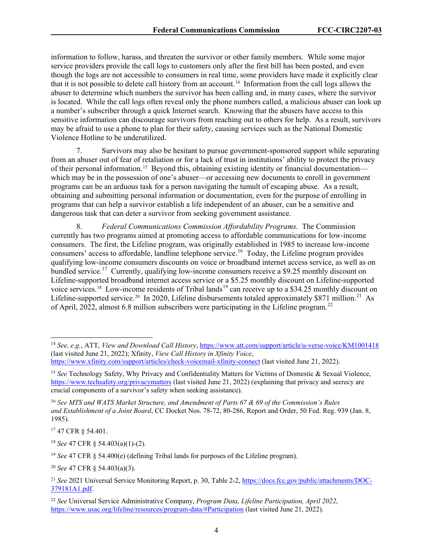information to follow, harass, and threaten the survivor or other family members. While some major service providers provide the call logs to customers only after the first bill has been posted, and even though the logs are not accessible to consumers in real time, some providers have made it explicitly clear that it is not possible to delete call history from an account.[14](#page-4-0) Information from the call logs allows the abuser to determine which numbers the survivor has been calling and, in many cases, where the survivor is located. While the call logs often reveal only the phone numbers called, a malicious abuser can look up a number's subscriber through a quick Internet search. Knowing that the abusers have access to this sensitive information can discourage survivors from reaching out to others for help. As a result, survivors may be afraid to use a phone to plan for their safety, causing services such as the National Domestic Violence Hotline to be underutilized.

7. Survivors may also be hesitant to pursue government-sponsored support while separating from an abuser out of fear of retaliation or for a lack of trust in institutions' ability to protect the privacy of their personal information.[15](#page-4-1) Beyond this, obtaining existing identity or financial documentation which may be in the possession of one's abuser—or accessing new documents to enroll in government programs can be an arduous task for a person navigating the tumult of escaping abuse. As a result, obtaining and submitting personal information or documentation, even for the purpose of enrolling in programs that can help a survivor establish a life independent of an abuser, can be a sensitive and dangerous task that can deter a survivor from seeking government assistance.

8. *Federal Communications Commission Affordability Programs*. The Commission currently has two programs aimed at promoting access to affordable communications for low-income consumers. The first, the Lifeline program, was originally established in 1985 to increase low-income consumers' access to affordable, landline telephone service.<sup>[16](#page-4-2)</sup> Today, the Lifeline program provides qualifying low-income consumers discounts on voice or broadband internet access service, as well as on bundled service.<sup>17</sup> Currently, qualifying low-income consumers receive a \$9.25 monthly discount on Lifeline-supported broadband internet access service or a \$5.25 monthly discount on Lifeline-supported voice services.<sup>18</sup> Low-income residents of Tribal lands<sup>[19](#page-4-5)</sup> can receive up to a \$34.25 monthly discount on Lifeline-supported service.<sup>20</sup> In 2020, Lifeline disbursements totaled approximately \$871 million.<sup>[21](#page-4-7)</sup> As of April, 20[22](#page-4-8), almost 6.8 million subscribers were participating in the Lifeline program.<sup>22</sup>

<span id="page-4-3"></span><sup>17</sup> 47 CFR § 54.401.

<span id="page-4-4"></span><sup>18</sup> *See* 47 CFR § 54.403(a)(1)-(2).

<span id="page-4-5"></span><sup>19</sup> *See* 47 CFR § 54.400(e) (defining Tribal lands for purposes of the Lifeline program).

<span id="page-4-6"></span><sup>20</sup> *See* 47 CFR § 54.403(a)(3).

<span id="page-4-0"></span><sup>14</sup> *See, e.g.*, ATT, *View and Download Call History*[, https://www.att.com/support/article/u-verse-voice/KM1001418](https://www.att.com/support/article/u-verse-voice/KM1001418) (last visited June 21, 2022); Xfinity, *View Call History in Xfinity Voice*, <https://www.xfinity.com/support/articles/check-voicemail-xfinity-connect> (last visited June 21, 2022).

<span id="page-4-1"></span><sup>&</sup>lt;sup>15</sup> See Technology Safety, Why Privacy and Confidentiality Matters for Victims of Domestic & Sexual Violence, <https://www.techsafety.org/privacymatters> (last visited June 21, 2022) (explaining that privacy and secrecy are crucial components of a survivor's safety when seeking assistance).

<span id="page-4-2"></span><sup>16</sup> *See [MTS and WATS Market Structure,](about:blank#co_pp_sp_1037_939) and Amendment of Parts 67 & 69 of the Commission's Rules and Establishment of a Joint Board*, CC Docket Nos. 78-72, 80-286, Report and Order, 50 Fed. Reg. 939 (Jan. 8, 1985).

<span id="page-4-7"></span><sup>21</sup> *See* 2021 Universal Service Monitoring Report, p. 30, Table 2-2[, https://docs.fcc.gov/public/attachments/DOC-](https://docs.fcc.gov/public/attachments/DOC-379181A1.pdf)[379181A1.pdf.](https://docs.fcc.gov/public/attachments/DOC-379181A1.pdf)

<span id="page-4-8"></span><sup>22</sup> *See* Universal Service Administrative Company, *Program Data, Lifeline Participation, April 2022*, <https://www.usac.org/lifeline/resources/program-data/#Participation> (last visited June 21, 2022).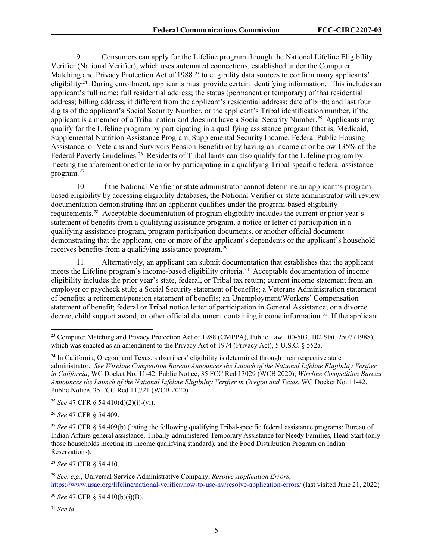9. Consumers can apply for the Lifeline program through the National Lifeline Eligibility Verifier (National Verifier), which uses automated connections, established under the Computer Matching and Privacy Protection Act of 1988,<sup>[23](#page-5-0)</sup> to eligibility data sources to confirm many applicants' eligibility.[24](#page-5-1) During enrollment, applicants must provide certain identifying information. This includes an applicant's full name; full residential address; the status (permanent or temporary) of that residential address; billing address, if different from the applicant's residential address; date of birth; and last four digits of the applicant's Social Security Number, or the applicant's Tribal identification number, if the applicant is a member of a Tribal nation and does not have a Social Security Number.[25](#page-5-2) Applicants may qualify for the Lifeline program by participating in a qualifying assistance program (that is, Medicaid, Supplemental Nutrition Assistance Program, Supplemental Security Income, Federal Public Housing Assistance, or Veterans and Survivors Pension Benefit) or by having an income at or below 135% of the Federal Poverty Guidelines.<sup>[26](#page-5-3)</sup> Residents of Tribal lands can also qualify for the Lifeline program by meeting the aforementioned criteria or by participating in a qualifying Tribal-specific federal assistance program.[27](#page-5-4)

10. If the National Verifier or state administrator cannot determine an applicant's programbased eligibility by accessing eligibility databases, the National Verifier or state administrator will review documentation demonstrating that an applicant qualifies under the program-based eligibility requirements.[28](#page-5-5) Acceptable documentation of program eligibility includes the current or prior year's statement of benefits from a qualifying assistance program, a notice or letter of participation in a qualifying assistance program, program participation documents, or another official document demonstrating that the applicant, one or more of the applicant's dependents or the applicant's household receives benefits from a qualifying assistance program.<sup>[29](#page-5-6)</sup>

11. Alternatively, an applicant can submit documentation that establishes that the applicant meets the Lifeline program's income-based eligibility criteria.[30](#page-5-7) Acceptable documentation of income eligibility includes the prior year's state, federal, or Tribal tax return; current income statement from an employer or paycheck stub; a Social Security statement of benefits; a Veterans Administration statement of benefits; a retirement/pension statement of benefits; an Unemployment/Workers' Compensation statement of benefit; federal or Tribal notice letter of participation in General Assistance; or a divorce decree, child support award, or other official document containing income information.<sup>31</sup> If the applicant

<span id="page-5-2"></span><sup>25</sup> *See* 47 CFR § 54.410(d)(2)(i)-(vi).

<span id="page-5-3"></span><sup>26</sup> *See* 47 CFR § 54.409.

<span id="page-5-4"></span><sup>27</sup> *See* 47 CFR § 54.409(b) (listing the following qualifying Tribal-specific federal assistance programs: Bureau of Indian Affairs general assistance, Tribally-administered Temporary Assistance for Needy Families, Head Start (only those households meeting its income qualifying standard), and the Food Distribution Program on Indian Reservations).

<span id="page-5-5"></span><sup>28</sup> *See* 47 CFR § 54.410.

<span id="page-5-6"></span><sup>29</sup> *See, e.g.*, Universal Service Administrative Company, *Resolve Application Errors*, <https://www.usac.org/lifeline/national-verifier/how-to-use-nv/resolve-application-errors/> (last visited June 21, 2022)*.*

<span id="page-5-0"></span><sup>&</sup>lt;sup>23</sup> Computer Matching and Privacy Protection Act of 1988 (CMPPA), Public Law 100-503, 102 Stat. 2507 (1988), which was enacted as an amendment to the Privacy Act of 1974 (Privacy Act), 5 U.S.C. § 552a.

<span id="page-5-1"></span><sup>&</sup>lt;sup>24</sup> In California, Oregon, and Texas, subscribers' eligibility is determined through their respective state administrator. *See Wireline Competition Bureau Announces the Launch of the National Lifeline Eligibility Verifier in California*, WC Docket No. 11-42, Public Notice, 35 FCC Rcd 13029 (WCB 2020); *Wireline Competition Bureau Announces the Launch of the National Lifeline Eligibility Verifier in Oregon and Texas*, WC Docket No. 11-42, Public Notice, 35 FCC Rcd 11,721 (WCB 2020).

<span id="page-5-7"></span><sup>30</sup> *See* 47 CFR § 54.410(b)(i)(B).

<span id="page-5-8"></span><sup>31</sup> *See id.*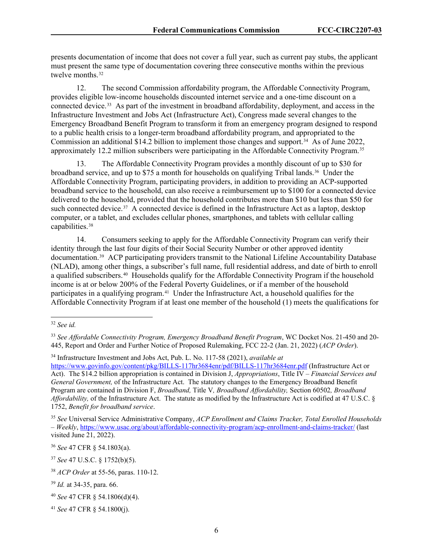presents documentation of income that does not cover a full year, such as current pay stubs, the applicant must present the same type of documentation covering three consecutive months within the previous twelve months.<sup>[32](#page-6-0)</sup>

12. The second Commission affordability program, the Affordable Connectivity Program, provides eligible low-income households discounted internet service and a one-time discount on a connected device.[33](#page-6-1) As part of the investment in broadband affordability, deployment, and access in the Infrastructure Investment and Jobs Act (Infrastructure Act), Congress made several changes to the Emergency Broadband Benefit Program to transform it from an emergency program designed to respond to a public health crisis to a longer-term broadband affordability program, and appropriated to the Commission an additional \$14.2 billion to implement those changes and support.[34](#page-6-2) As of June 2022, approximately 12.2 million subscribers were participating in the Affordable Connectivity Program.[35](#page-6-3)

13. The Affordable Connectivity Program provides a monthly discount of up to \$30 for broadband service, and up to \$75 a month for households on qualifying Tribal lands.<sup>[36](#page-6-4)</sup> Under the Affordable Connectivity Program, participating providers, in addition to providing an ACP-supported broadband service to the household, can also receive a reimbursement up to \$100 for a connected device delivered to the household, provided that the household contributes more than \$10 but less than \$50 for such connected device.<sup>37</sup> A connected device is defined in the Infrastructure Act as a laptop, desktop computer, or a tablet, and excludes cellular phones, smartphones, and tablets with cellular calling capabilities.[38](#page-6-6)

14. Consumers seeking to apply for the Affordable Connectivity Program can verify their identity through the last four digits of their Social Security Number or other approved identity documentation.<sup>[39](#page-6-7)</sup> ACP participating providers transmit to the National Lifeline Accountability Database (NLAD), among other things, a subscriber's full name, full residential address, and date of birth to enroll a qualified subscribers.<sup>40</sup> Households qualify for the Affordable Connectivity Program if the household income is at or below 200% of the Federal Poverty Guidelines, or if a member of the household participates in a qualifying program.<sup>[41](#page-6-9)</sup> Under the Infrastructure Act, a household qualifies for the Affordable Connectivity Program if at least one member of the household (1) meets the qualifications for

<span id="page-6-2"></span><sup>34</sup> Infrastructure Investment and Jobs Act, Pub. L. No. 117-58 (2021), *available at* <https://www.govinfo.gov/content/pkg/BILLS-117hr3684enr/pdf/BILLS-117hr3684enr.pdf> (Infrastructure Act or Act). The \$14.2 billion appropriation is contained in Division J, *Appropriations*, Title IV – *Financial Services and General Government,* of the Infrastructure Act. The statutory changes to the Emergency Broadband Benefit Program are contained in Division F, *Broadband,* Title V*, Broadband Affordability,* Section 60502*, Broadband Affordability,* of the Infrastructure Act. The statute as modified by the Infrastructure Act is codified at 47 U.S.C. § 1752, *Benefit for broadband service*.

<span id="page-6-3"></span><sup>35</sup> *See* Universal Service Administrative Company, *ACP Enrollment and Claims Tracker, Total Enrolled Households – Weekly*,<https://www.usac.org/about/affordable-connectivity-program/acp-enrollment-and-claims-tracker/> (last visited June 21, 2022).

<span id="page-6-4"></span><sup>36</sup> *See* 47 CFR § 54.1803(a).

<span id="page-6-5"></span><sup>37</sup> *See* 47 U.S.C. § 1752(b)(5).

<span id="page-6-0"></span><sup>32</sup> *See id.*

<span id="page-6-1"></span><sup>33</sup> *See Affordable Connectivity Program, Emergency Broadband Benefit Program*, WC Docket Nos. 21-450 and 20- 445, Report and Order and Further Notice of Proposed Rulemaking, FCC 22-2 (Jan. 21, 2022) (*ACP Order*).

<span id="page-6-6"></span><sup>38</sup> *ACP Order* at 55-56, paras. 110-12.

<span id="page-6-7"></span><sup>39</sup> *Id.* at 34-35, para. 66.

<span id="page-6-8"></span><sup>40</sup> *See* 47 CFR § 54.1806(d)(4).

<span id="page-6-9"></span><sup>41</sup> *See* 47 CFR § 54.1800(j).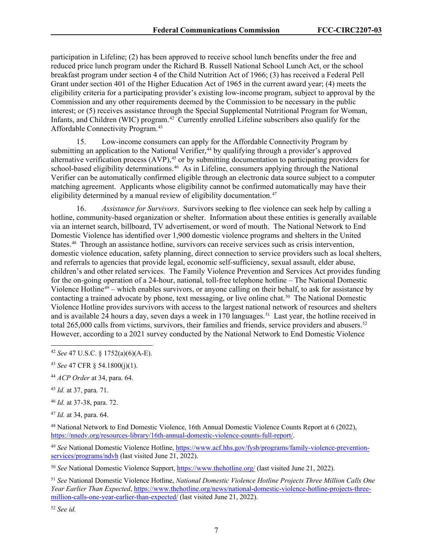participation in Lifeline; (2) has been approved to receive school lunch benefits under the free and reduced price lunch program under the Richard B. Russell National School Lunch Act, or the school breakfast program under section 4 of the Child Nutrition Act of 1966; (3) has received a Federal Pell Grant under section 401 of the Higher Education Act of 1965 in the current award year; (4) meets the eligibility criteria for a participating provider's existing low-income program, subject to approval by the Commission and any other requirements deemed by the Commission to be necessary in the public interest; or (5) receives assistance through the Special Supplemental Nutritional Program for Woman, Infants, and Children (WIC) program. [42](#page-7-0) Currently enrolled Lifeline subscribers also qualify for the Affordable Connectivity Program.[43](#page-7-1)

15. Low-income consumers can apply for the Affordable Connectivity Program by submitting an application to the National Verifier,<sup>[44](#page-7-2)</sup> by qualifying through a provider's approved alternative verification process (AVP), [45](#page-7-3) or by submitting documentation to participating providers for school-based eligibility determinations.<sup>46</sup> As in Lifeline, consumers applying through the National Verifier can be automatically confirmed eligible through an electronic data source subject to a computer matching agreement. Applicants whose eligibility cannot be confirmed automatically may have their eligibility determined by a manual review of eligibility documentation.<sup>[47](#page-7-5)</sup>

16. *Assistance for Survivors*. Survivors seeking to flee violence can seek help by calling a hotline, community-based organization or shelter. Information about these entities is generally available via an internet search, billboard, TV advertisement, or word of mouth. The National Network to End Domestic Violence has identified over 1,900 domestic violence programs and shelters in the United States.<sup>[48](#page-7-6)</sup> Through an assistance hotline, survivors can receive services such as crisis intervention, domestic violence education, safety planning, direct connection to service providers such as local shelters, and referrals to agencies that provide legal, economic self-sufficiency, sexual assault, elder abuse, children's and other related services. The Family Violence Prevention and Services Act provides funding for the on-going operation of a 24-hour, national, toll-free telephone hotline – The National Domestic Violence Hotline<sup>[49](#page-7-7)</sup> – which enables survivors, or anyone calling on their behalf, to ask for assistance by contacting a trained advocate by phone, text messaging, or live online chat.<sup>[50](#page-7-8)</sup> The National Domestic Violence Hotline provides survivors with access to the largest national network of resources and shelters and is available  $24$  hours a day, seven days a week in 170 languages.<sup>51</sup> Last year, the hotline received in total 265,000 calls from victims, survivors, their families and friends, service providers and abusers.<sup>[52](#page-7-10)</sup> However, according to a 2021 survey conducted by the National Network to End Domestic Violence

- <span id="page-7-3"></span><sup>45</sup> *Id.* at 37, para. 71.
- <span id="page-7-4"></span><sup>46</sup> *Id.* at 37-38, para. 72.

<span id="page-7-6"></span><sup>48</sup> National Network to End Domestic Violence, 16th Annual Domestic Violence Counts Report at 6 (2022), [https://nnedv.org/resources-library/16th-annual-domestic-violence-counts-full-report/.](https://nnedv.org/resources-library/16th-annual-domestic-violence-counts-full-report/) 

<span id="page-7-7"></span><sup>49</sup> *See* National Domestic Violence Hotline[, https://www.acf.hhs.gov/fysb/programs/family-violence-prevention](https://www.acf.hhs.gov/fysb/programs/family-violence-prevention-services/programs/ndvh)[services/programs/ndvh](https://www.acf.hhs.gov/fysb/programs/family-violence-prevention-services/programs/ndvh) (last visited June 21, 2022).

<span id="page-7-8"></span><sup>50</sup> *See* National Domestic Violence Support,<https://www.thehotline.org/> (last visited June 21, 2022).

<span id="page-7-9"></span><sup>51</sup> *See* National Domestic Violence Hotline, *National Domestic Violence Hotline Projects Three Million Calls One Year Earlier Than Expected*[, https://www.thehotline.org/news/national-domestic-violence-hotline-projects-three](https://www.thehotline.org/news/national-domestic-violence-hotline-projects-three-million-calls-one-year-earlier-than-expected/)[million-calls-one-year-earlier-than-expected/](https://www.thehotline.org/news/national-domestic-violence-hotline-projects-three-million-calls-one-year-earlier-than-expected/) (last visited June 21, 2022).

<span id="page-7-10"></span><sup>52</sup> *See id.*

<span id="page-7-0"></span><sup>42</sup> *See* 47 U.S.C. § 1752(a)(6)(A-E).

<span id="page-7-1"></span><sup>43</sup> *See* 47 CFR § 54.1800(j)(1).

<span id="page-7-2"></span><sup>44</sup> *ACP Order* at 34, para. 64.

<span id="page-7-5"></span><sup>47</sup> *Id.* at 34, para. 64.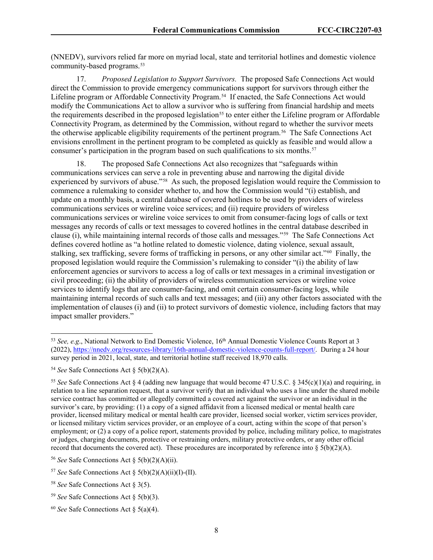(NNEDV), survivors relied far more on myriad local, state and territorial hotlines and domestic violence community-based programs.<sup>[53](#page-8-0)</sup>

17. *Proposed Legislation to Support Survivors.* The proposed Safe Connections Act would direct the Commission to provide emergency communications support for survivors through either the Lifeline program or Affordable Connectivity Program.<sup>54</sup> If enacted, the Safe Connections Act would modify the Communications Act to allow a survivor who is suffering from financial hardship and meets the requirements described in the proposed legislation<sup>[55](#page-8-2)</sup> to enter either the Lifeline program or Affordable Connectivity Program, as determined by the Commission, without regard to whether the survivor meets the otherwise applicable eligibility requirements of the pertinent program.[56](#page-8-3) The Safe Connections Act envisions enrollment in the pertinent program to be completed as quickly as feasible and would allow a consumer's participation in the program based on such qualifications to six months.[57](#page-8-4)

18. The proposed Safe Connections Act also recognizes that "safeguards within communications services can serve a role in preventing abuse and narrowing the digital divide experienced by survivors of abuse."[58](#page-8-5) As such, the proposed legislation would require the Commission to commence a rulemaking to consider whether to, and how the Commission would "(i) establish, and update on a monthly basis, a central database of covered hotlines to be used by providers of wireless communications services or wireline voice services; and (ii) require providers of wireless communications services or wireline voice services to omit from consumer-facing logs of calls or text messages any records of calls or text messages to covered hotlines in the central database described in clause (i), while maintaining internal records of those calls and messages."[59](#page-8-6) The Safe Connections Act defines covered hotline as "a hotline related to domestic violence, dating violence, sexual assault, stalking, sex trafficking, severe forms of trafficking in persons, or any other similar act."[60](#page-8-7) Finally, the proposed legislation would require the Commission's rulemaking to consider "(i) the ability of law enforcement agencies or survivors to access a log of calls or text messages in a criminal investigation or civil proceeding; (ii) the ability of providers of wireless communication services or wireline voice services to identify logs that are consumer-facing, and omit certain consumer-facing logs, while maintaining internal records of such calls and text messages; and (iii) any other factors associated with the implementation of clauses (i) and (ii) to protect survivors of domestic violence, including factors that may impact smaller providers."

<span id="page-8-0"></span><sup>&</sup>lt;sup>53</sup> See, e.g., National Network to End Domestic Violence, 16<sup>th</sup> Annual Domestic Violence Counts Report at 3 (2022)[, https://nnedv.org/resources-library/16th-annual-domestic-violence-counts-full-report/.](https://nnedv.org/resources-library/16th-annual-domestic-violence-counts-full-report/) During a 24 hour survey period in 2021, local, state, and territorial hotline staff received 18,970 calls.

<span id="page-8-1"></span><sup>54</sup> *See* Safe Connections Act § 5(b)(2)(A).

<span id="page-8-2"></span><sup>&</sup>lt;sup>55</sup> See Safe Connections Act  $\S 4$  (adding new language that would become 47 U.S.C.  $\S 345(c)(1)(a)$  and requiring, in relation to a line separation request, that a survivor verify that an individual who uses a line under the shared mobile service contract has committed or allegedly committed a covered act against the survivor or an individual in the survivor's care, by providing: (1) a copy of a signed affidavit from a licensed medical or mental health care provider, licensed military medical or mental health care provider, licensed social worker, victim services provider, or licensed military victim services provider, or an employee of a court, acting within the scope of that person's employment; or (2) a copy of a police report, statements provided by police, including military police, to magistrates or judges, charging documents, protective or restraining orders, military protective orders, or any other official record that documents the covered act). These procedures are incorporated by reference into §  $5(b)(2)(A)$ .

<span id="page-8-3"></span><sup>56</sup> *See* Safe Connections Act § 5(b)(2)(A)(ii).

<span id="page-8-4"></span><sup>&</sup>lt;sup>57</sup> *See* Safe Connections Act  $\S$  5(b)(2)(A)(ii)(I)-(II).

<span id="page-8-5"></span><sup>58</sup> *See* Safe Connections Act § 3(5).

<span id="page-8-6"></span><sup>59</sup> *See* Safe Connections Act § 5(b)(3).

<span id="page-8-7"></span><sup>60</sup> *See* Safe Connections Act § 5(a)(4).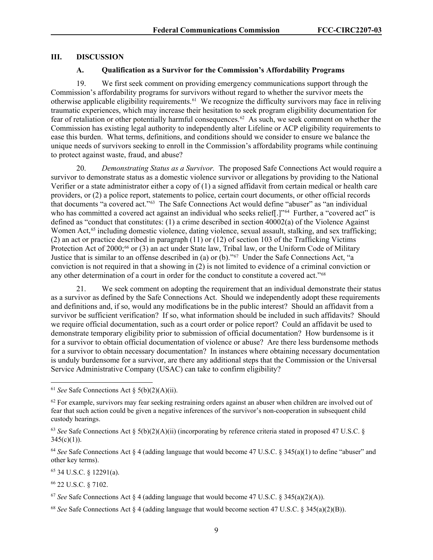#### **III. DISCUSSION**

### **A. Qualification as a Survivor for the Commission's Affordability Programs**

19. We first seek comment on providing emergency communications support through the Commission's affordability programs for survivors without regard to whether the survivor meets the otherwise applicable eligibility requirements.[61](#page-9-0) We recognize the difficulty survivors may face in reliving traumatic experiences, which may increase their hesitation to seek program eligibility documentation for fear of retaliation or other potentially harmful consequences.<sup>62</sup> As such, we seek comment on whether the Commission has existing legal authority to independently alter Lifeline or ACP eligibility requirements to ease this burden. What terms, definitions, and conditions should we consider to ensure we balance the unique needs of survivors seeking to enroll in the Commission's affordability programs while continuing to protect against waste, fraud, and abuse?

20. *Demonstrating Status as a Survivor.* The proposed Safe Connections Act would require a survivor to demonstrate status as a domestic violence survivor or allegations by providing to the National Verifier or a state administrator either a copy of (1) a signed affidavit from certain medical or health care providers, or (2) a police report, statements to police, certain court documents, or other official records that documents "a covered act."[63](#page-9-2) The Safe Connections Act would define "abuser" as "an individual who has committed a covered act against an individual who seeks relief[.]"<sup>[64](#page-9-3)</sup> Further, a "covered act" is defined as "conduct that constitutes: (1) a crime described in section 40002(a) of the Violence Against Women Act,<sup>[65](#page-9-4)</sup> including domestic violence, dating violence, sexual assault, stalking, and sex trafficking; (2) an act or practice described in paragraph (11) or (12) of section 103 of the Trafficking Victims Protection Act of 2000;<sup>[66](#page-9-5)</sup> or (3) an act under State law, Tribal law, or the Uniform Code of Military Justice that is similar to an offense described in (a) or (b)."[67](#page-9-6) Under the Safe Connections Act, "a conviction is not required in that a showing in (2) is not limited to evidence of a criminal conviction or any other determination of a court in order for the conduct to constitute a covered act."<sup>[68](#page-9-7)</sup>

21. We seek comment on adopting the requirement that an individual demonstrate their status as a survivor as defined by the Safe Connections Act. Should we independently adopt these requirements and definitions and, if so, would any modifications be in the public interest? Should an affidavit from a survivor be sufficient verification? If so, what information should be included in such affidavits? Should we require official documentation, such as a court order or police report? Could an affidavit be used to demonstrate temporary eligibility prior to submission of official documentation? How burdensome is it for a survivor to obtain official documentation of violence or abuse? Are there less burdensome methods for a survivor to obtain necessary documentation? In instances where obtaining necessary documentation is unduly burdensome for a survivor, are there any additional steps that the Commission or the Universal Service Administrative Company (USAC) can take to confirm eligibility?

<span id="page-9-4"></span><sup>65</sup> 34 U.S.C. § 12291(a).

<span id="page-9-5"></span><sup>66</sup> 22 U.S.C. § 7102.

<span id="page-9-0"></span><sup>61</sup> *See* Safe Connections Act § 5(b)(2)(A)(ii).

<span id="page-9-1"></span> $62$  For example, survivors may fear seeking restraining orders against an abuser when children are involved out of fear that such action could be given a negative inferences of the survivor's non-cooperation in subsequent child custody hearings.

<span id="page-9-2"></span><sup>63</sup> *See* Safe Connections Act § 5(b)(2)(A)(ii) (incorporating by reference criteria stated in proposed 47 U.S.C. §  $345(c)(1)$ ).

<span id="page-9-3"></span><sup>64</sup> *See* Safe Connections Act § 4 (adding language that would become 47 U.S.C. § 345(a)(1) to define "abuser" and other key terms).

<span id="page-9-6"></span><sup>&</sup>lt;sup>67</sup> See Safe Connections Act  $\S$  4 (adding language that would become 47 U.S.C.  $\S$  345(a)(2)(A)).

<span id="page-9-7"></span><sup>&</sup>lt;sup>68</sup> *See* Safe Connections Act  $\S 4$  (adding language that would become section 47 U.S.C.  $\S 345(a)(2)(B)$ ).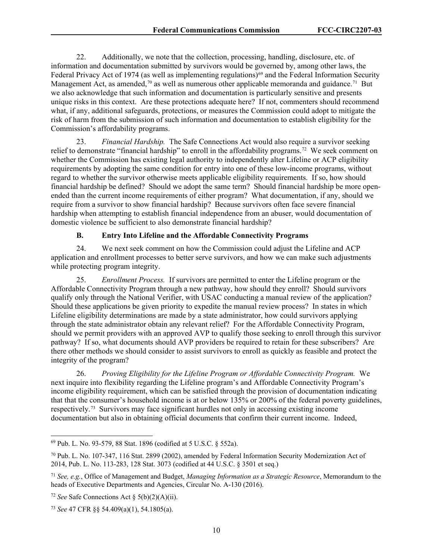22. Additionally, we note that the collection, processing, handling, disclosure, etc. of information and documentation submitted by survivors would be governed by, among other laws, the Federal Privacy Act of 1974 (as well as implementing regulations)<sup>[69](#page-10-0)</sup> and the Federal Information Security Management Act, as amended,<sup>[70](#page-10-1)</sup> as well as numerous other applicable memoranda and guidance.<sup>[71](#page-10-2)</sup> But we also acknowledge that such information and documentation is particularly sensitive and presents unique risks in this context. Are these protections adequate here? If not, commenters should recommend what, if any, additional safeguards, protections, or measures the Commission could adopt to mitigate the risk of harm from the submission of such information and documentation to establish eligibility for the Commission's affordability programs.

23. *Financial Hardship.* The Safe Connections Act would also require a survivor seeking relief to demonstrate "financial hardship" to enroll in the affordability programs.<sup>72</sup> We seek comment on whether the Commission has existing legal authority to independently alter Lifeline or ACP eligibility requirements by adopting the same condition for entry into one of these low-income programs, without regard to whether the survivor otherwise meets applicable eligibility requirements. If so, how should financial hardship be defined? Should we adopt the same term? Should financial hardship be more openended than the current income requirements of either program? What documentation, if any, should we require from a survivor to show financial hardship? Because survivors often face severe financial hardship when attempting to establish financial independence from an abuser, would documentation of domestic violence be sufficient to also demonstrate financial hardship?

### **B. Entry Into Lifeline and the Affordable Connectivity Programs**

24. We next seek comment on how the Commission could adjust the Lifeline and ACP application and enrollment processes to better serve survivors, and how we can make such adjustments while protecting program integrity.

25. *Enrollment Process.* If survivors are permitted to enter the Lifeline program or the Affordable Connectivity Program through a new pathway, how should they enroll? Should survivors qualify only through the National Verifier, with USAC conducting a manual review of the application? Should these applications be given priority to expedite the manual review process? In states in which Lifeline eligibility determinations are made by a state administrator, how could survivors applying through the state administrator obtain any relevant relief? For the Affordable Connectivity Program, should we permit providers with an approved AVP to qualify those seeking to enroll through this survivor pathway? If so, what documents should AVP providers be required to retain for these subscribers? Are there other methods we should consider to assist survivors to enroll as quickly as feasible and protect the integrity of the program?

26. *Proving Eligibility for the Lifeline Program or Affordable Connectivity Program.* We next inquire into flexibility regarding the Lifeline program's and Affordable Connectivity Program's income eligibility requirement, which can be satisfied through the provision of documentation indicating that that the consumer's household income is at or below 135% or 200% of the federal poverty guidelines, respectively.[73](#page-10-4) Survivors may face significant hurdles not only in accessing existing income documentation but also in obtaining official documents that confirm their current income. Indeed,

<span id="page-10-0"></span><sup>69</sup> Pub. L. No. 93-579, 88 Stat. 1896 (codified at 5 U.S.C. § 552a).

<span id="page-10-1"></span><sup>70</sup> Pub. L. No. 107-347, 116 Stat. 2899 (2002), amended by Federal Information Security Modernization Act of 2014, Pub. L. No. 113-283, 128 Stat. 3073 (codified at 44 U.S.C. § 3501 et seq.)

<span id="page-10-2"></span><sup>71</sup> *See, e.g.*, Office of Management and Budget, *Managing Information as a Strategic Resource*, Memorandum to the heads of Executive Departments and Agencies, Circular No. A-130 (2016).

<span id="page-10-3"></span><sup>&</sup>lt;sup>72</sup> *See* Safe Connections Act  $\S$  5(b)(2)(A)(ii).

<span id="page-10-4"></span><sup>73</sup> *See* 47 CFR §§ 54.409(a)(1), 54.1805(a).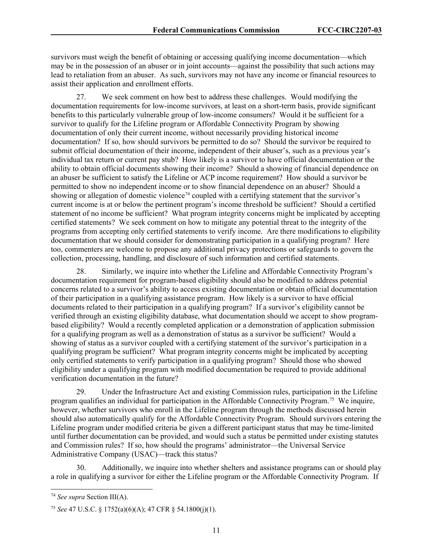survivors must weigh the benefit of obtaining or accessing qualifying income documentation—which may be in the possession of an abuser or in joint accounts—against the possibility that such actions may lead to retaliation from an abuser. As such, survivors may not have any income or financial resources to assist their application and enrollment efforts.

27. We seek comment on how best to address these challenges. Would modifying the documentation requirements for low-income survivors, at least on a short-term basis, provide significant benefits to this particularly vulnerable group of low-income consumers? Would it be sufficient for a survivor to qualify for the Lifeline program or Affordable Connectivity Program by showing documentation of only their current income, without necessarily providing historical income documentation? If so, how should survivors be permitted to do so? Should the survivor be required to submit official documentation of their income, independent of their abuser's, such as a previous year's individual tax return or current pay stub? How likely is a survivor to have official documentation or the ability to obtain official documents showing their income? Should a showing of financial dependence on an abuser be sufficient to satisfy the Lifeline or ACP income requirement? How should a survivor be permitted to show no independent income or to show financial dependence on an abuser? Should a showing or allegation of domestic violence<sup>[74](#page-11-0)</sup> coupled with a certifying statement that the survivor's current income is at or below the pertinent program's income threshold be sufficient? Should a certified statement of no income be sufficient? What program integrity concerns might be implicated by accepting certified statements? We seek comment on how to mitigate any potential threat to the integrity of the programs from accepting only certified statements to verify income. Are there modifications to eligibility documentation that we should consider for demonstrating participation in a qualifying program? Here too, commenters are welcome to propose any additional privacy protections or safeguards to govern the collection, processing, handling, and disclosure of such information and certified statements.

28. Similarly, we inquire into whether the Lifeline and Affordable Connectivity Program's documentation requirement for program-based eligibility should also be modified to address potential concerns related to a survivor's ability to access existing documentation or obtain official documentation of their participation in a qualifying assistance program. How likely is a survivor to have official documents related to their participation in a qualifying program? If a survivor's eligibility cannot be verified through an existing eligibility database, what documentation should we accept to show programbased eligibility? Would a recently completed application or a demonstration of application submission for a qualifying program as well as a demonstration of status as a survivor be sufficient? Would a showing of status as a survivor coupled with a certifying statement of the survivor's participation in a qualifying program be sufficient? What program integrity concerns might be implicated by accepting only certified statements to verify participation in a qualifying program? Should those who showed eligibility under a qualifying program with modified documentation be required to provide additional verification documentation in the future?

29. Under the Infrastructure Act and existing Commission rules, participation in the Lifeline program qualifies an individual for participation in the Affordable Connectivity Program.[75](#page-11-1) We inquire, however, whether survivors who enroll in the Lifeline program through the methods discussed herein should also automatically qualify for the Affordable Connectivity Program. Should survivors entering the Lifeline program under modified criteria be given a different participant status that may be time-limited until further documentation can be provided, and would such a status be permitted under existing statutes and Commission rules? If so, how should the programs' administrator—the Universal Service Administrative Company (USAC)—track this status?

30. Additionally, we inquire into whether shelters and assistance programs can or should play a role in qualifying a survivor for either the Lifeline program or the Affordable Connectivity Program. If

<span id="page-11-0"></span><sup>74</sup> *See supra* Section III(A).

<span id="page-11-1"></span><sup>75</sup> *See* 47 U.S.C. § 1752(a)(6)(A); 47 CFR § 54.1800(j)(1).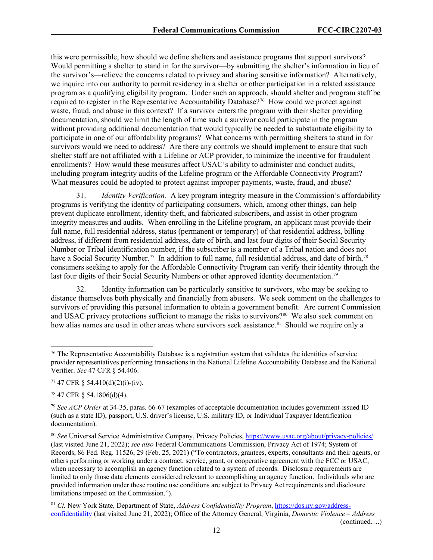this were permissible, how should we define shelters and assistance programs that support survivors? Would permitting a shelter to stand in for the survivor—by submitting the shelter's information in lieu of the survivor's—relieve the concerns related to privacy and sharing sensitive information? Alternatively, we inquire into our authority to permit residency in a shelter or other participation in a related assistance program as a qualifying eligibility program. Under such an approach, should shelter and program staff be required to register in the Representative Accountability Database?[76](#page-12-0) How could we protect against waste, fraud, and abuse in this context? If a survivor enters the program with their shelter providing documentation, should we limit the length of time such a survivor could participate in the program without providing additional documentation that would typically be needed to substantiate eligibility to participate in one of our affordability programs? What concerns with permitting shelters to stand in for survivors would we need to address? Are there any controls we should implement to ensure that such shelter staff are not affiliated with a Lifeline or ACP provider, to minimize the incentive for fraudulent enrollments? How would these measures affect USAC's ability to administer and conduct audits, including program integrity audits of the Lifeline program or the Affordable Connectivity Program? What measures could be adopted to protect against improper payments, waste, fraud, and abuse?

31. *Identity Verification.* A key program integrity measure in the Commission's affordability programs is verifying the identity of participating consumers, which, among other things, can help prevent duplicate enrollment, identity theft, and fabricated subscribers, and assist in other program integrity measures and audits. When enrolling in the Lifeline program, an applicant must provide their full name, full residential address, status (permanent or temporary) of that residential address, billing address, if different from residential address, date of birth, and last four digits of their Social Security Number or Tribal identification number, if the subscriber is a member of a Tribal nation and does not have a Social Security Number.<sup>77</sup> In addition to full name, full residential address, and date of birth,<sup>[78](#page-12-2)</sup> consumers seeking to apply for the Affordable Connectivity Program can verify their identity through the last four digits of their Social Security Numbers or other approved identity documentation.<sup>[79](#page-12-3)</sup>

32. Identity information can be particularly sensitive to survivors, who may be seeking to distance themselves both physically and financially from abusers. We seek comment on the challenges to survivors of providing this personal information to obtain a government benefit. Are current Commission and USAC privacy protections sufficient to manage the risks to survivors?<sup>[80](#page-12-4)</sup> We also seek comment on how alias names are used in other areas where survivors seek assistance.<sup>81</sup> Should we require only a

<span id="page-12-2"></span><sup>78</sup> 47 CFR § 54.1806(d)(4).

<span id="page-12-0"></span><sup>&</sup>lt;sup>76</sup> The Representative Accountability Database is a registration system that validates the identities of service provider representatives performing transactions in the National Lifeline Accountability Database and the National Verifier. *See* 47 CFR § 54.406.

<span id="page-12-1"></span><sup>77</sup> 47 CFR § 54.410(d)(2)(i)-(iv).

<span id="page-12-3"></span><sup>79</sup> *See ACP Order* at 34-35, paras. 66-67 (examples of acceptable documentation includes government-issued ID (such as a state ID), passport, U.S. driver's license, U.S. military ID, or Individual Taxpayer Identification documentation).

<span id="page-12-4"></span><sup>80</sup> *See* Universal Service Administrative Company, Privacy Policies,<https://www.usac.org/about/privacy-policies/> (last visited June 21, 2022); *see also* Federal Communications Commission, Privacy Act of 1974; System of Records, 86 Fed. Reg. 11526, 29 (Feb. 25, 2021) ("To contractors, grantees, experts, consultants and their agents, or others performing or working under a contract, service, grant, or cooperative agreement with the FCC or USAC, when necessary to accomplish an agency function related to a system of records. Disclosure requirements are limited to only those data elements considered relevant to accomplishing an agency function. Individuals who are provided information under these routine use conditions are subject to Privacy Act requirements and disclosure limitations imposed on the Commission.").

<span id="page-12-5"></span><sup>81</sup> *Cf.* New York State, Department of State, *Address Confidentiality Program*[, https://dos.ny.gov/address](https://dos.ny.gov/address-confidentiality)[confidentiality](https://dos.ny.gov/address-confidentiality) (last visited June 21, 2022); Office of the Attorney General, Virginia, *Domestic Violence – Address*  (continued….)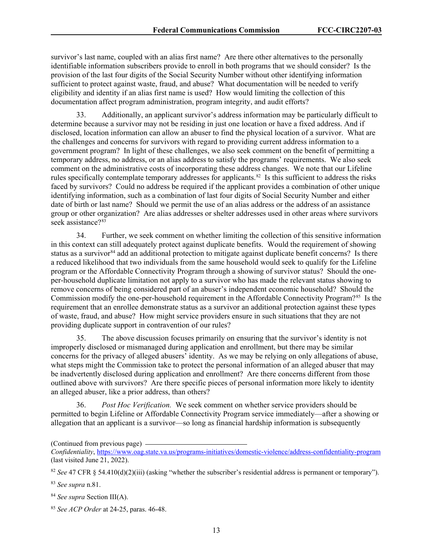survivor's last name, coupled with an alias first name? Are there other alternatives to the personally identifiable information subscribers provide to enroll in both programs that we should consider? Is the provision of the last four digits of the Social Security Number without other identifying information sufficient to protect against waste, fraud, and abuse? What documentation will be needed to verify eligibility and identity if an alias first name is used? How would limiting the collection of this documentation affect program administration, program integrity, and audit efforts?

33. Additionally, an applicant survivor's address information may be particularly difficult to determine because a survivor may not be residing in just one location or have a fixed address. And if disclosed, location information can allow an abuser to find the physical location of a survivor. What are the challenges and concerns for survivors with regard to providing current address information to a government program? In light of these challenges, we also seek comment on the benefit of permitting a temporary address, no address, or an alias address to satisfy the programs' requirements. We also seek comment on the administrative costs of incorporating these address changes. We note that our Lifeline rules specifically contemplate temporary addresses for applicants.<sup>82</sup> Is this sufficient to address the risks faced by survivors? Could no address be required if the applicant provides a combination of other unique identifying information, such as a combination of last four digits of Social Security Number and either date of birth or last name? Should we permit the use of an alias address or the address of an assistance group or other organization? Are alias addresses or shelter addresses used in other areas where survivors seek assistance?<sup>[83](#page-13-1)</sup>

34. Further, we seek comment on whether limiting the collection of this sensitive information in this context can still adequately protect against duplicate benefits. Would the requirement of showing status as a survivor<sup>84</sup> add an additional protection to mitigate against duplicate benefit concerns? Is there a reduced likelihood that two individuals from the same household would seek to qualify for the Lifeline program or the Affordable Connectivity Program through a showing of survivor status? Should the oneper-household duplicate limitation not apply to a survivor who has made the relevant status showing to remove concerns of being considered part of an abuser's independent economic household? Should the Commission modify the one-per-household requirement in the Affordable Connectivity Program?<sup>[85](#page-13-3)</sup> Is the requirement that an enrollee demonstrate status as a survivor an additional protection against these types of waste, fraud, and abuse? How might service providers ensure in such situations that they are not providing duplicate support in contravention of our rules?

35. The above discussion focuses primarily on ensuring that the survivor's identity is not improperly disclosed or mismanaged during application and enrollment, but there may be similar concerns for the privacy of alleged abusers' identity. As we may be relying on only allegations of abuse, what steps might the Commission take to protect the personal information of an alleged abuser that may be inadvertently disclosed during application and enrollment? Are there concerns different from those outlined above with survivors? Are there specific pieces of personal information more likely to identity an alleged abuser, like a prior address, than others?

36. *Post Hoc Verification.* We seek comment on whether service providers should be permitted to begin Lifeline or Affordable Connectivity Program service immediately—after a showing or allegation that an applicant is a survivor—so long as financial hardship information is subsequently

(Continued from previous page)

*Confidentiality*,<https://www.oag.state.va.us/programs-initiatives/domestic-violence/address-confidentiality-program> (last visited June 21, 2022).

<span id="page-13-0"></span><sup>82</sup> *See* 47 CFR § 54.410(d)(2)(iii) (asking "whether the subscriber's residential address is permanent or temporary").

<span id="page-13-1"></span><sup>83</sup> *See supra* n.81.

<span id="page-13-2"></span><sup>84</sup> *See supra* Section III(A).

<span id="page-13-3"></span><sup>85</sup> *See ACP Order* at 24-25, paras. 46-48.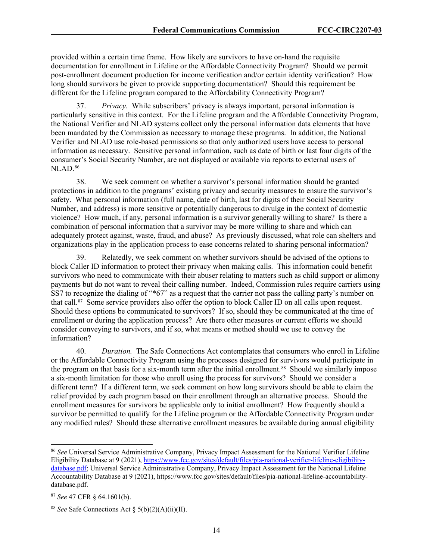provided within a certain time frame. How likely are survivors to have on-hand the requisite documentation for enrollment in Lifeline or the Affordable Connectivity Program? Should we permit post-enrollment document production for income verification and/or certain identity verification? How long should survivors be given to provide supporting documentation? Should this requirement be different for the Lifeline program compared to the Affordability Connectivity Program?

37. *Privacy.* While subscribers' privacy is always important, personal information is particularly sensitive in this context. For the Lifeline program and the Affordable Connectivity Program, the National Verifier and NLAD systems collect only the personal information data elements that have been mandated by the Commission as necessary to manage these programs. In addition, the National Verifier and NLAD use role-based permissions so that only authorized users have access to personal information as necessary. Sensitive personal information, such as date of birth or last four digits of the consumer's Social Security Number, are not displayed or available via reports to external users of NLAD. [86](#page-14-0)

38. We seek comment on whether a survivor's personal information should be granted protections in addition to the programs' existing privacy and security measures to ensure the survivor's safety. What personal information (full name, date of birth, last for digits of their Social Security Number, and address) is more sensitive or potentially dangerous to divulge in the context of domestic violence? How much, if any, personal information is a survivor generally willing to share? Is there a combination of personal information that a survivor may be more willing to share and which can adequately protect against, waste, fraud, and abuse? As previously discussed, what role can shelters and organizations play in the application process to ease concerns related to sharing personal information?

39. Relatedly, we seek comment on whether survivors should be advised of the options to block Caller ID information to protect their privacy when making calls. This information could benefit survivors who need to communicate with their abuser relating to matters such as child support or alimony payments but do not want to reveal their calling number. Indeed, Commission rules require carriers using SS7 to recognize the dialing of "\*67" as a request that the carrier not pass the calling party's number on that call.[87](#page-14-1) Some service providers also offer the option to block Caller ID on all calls upon request. Should these options be communicated to survivors? If so, should they be communicated at the time of enrollment or during the application process? Are there other measures or current efforts we should consider conveying to survivors, and if so, what means or method should we use to convey the information?

40. *Duration.* The Safe Connections Act contemplates that consumers who enroll in Lifeline or the Affordable Connectivity Program using the processes designed for survivors would participate in the program on that basis for a six-month term after the initial enrollment.<sup>[88](#page-14-2)</sup> Should we similarly impose a six-month limitation for those who enroll using the process for survivors? Should we consider a different term? If a different term, we seek comment on how long survivors should be able to claim the relief provided by each program based on their enrollment through an alternative process. Should the enrollment measures for survivors be applicable only to initial enrollment? How frequently should a survivor be permitted to qualify for the Lifeline program or the Affordable Connectivity Program under any modified rules? Should these alternative enrollment measures be available during annual eligibility

<span id="page-14-0"></span><sup>86</sup> *See* Universal Service Administrative Company, Privacy Impact Assessment for the National Verifier Lifeline Eligibility Database at 9 (2021), [https://www.fcc.gov/sites/default/files/pia-national-verifier-lifeline-eligibility](about:blank)[database.pdf;](about:blank) Universal Service Administrative Company, Privacy Impact Assessment for the National Lifeline Accountability Database at 9 (2021), https://www.fcc.gov/sites/default/files/pia-national-lifeline-accountabilitydatabase.pdf.

<span id="page-14-1"></span><sup>87</sup> *See* 47 CFR § 64.1601(b).

<span id="page-14-2"></span><sup>88</sup> *See* Safe Connections Act § 5(b)(2)(A)(ii)(II).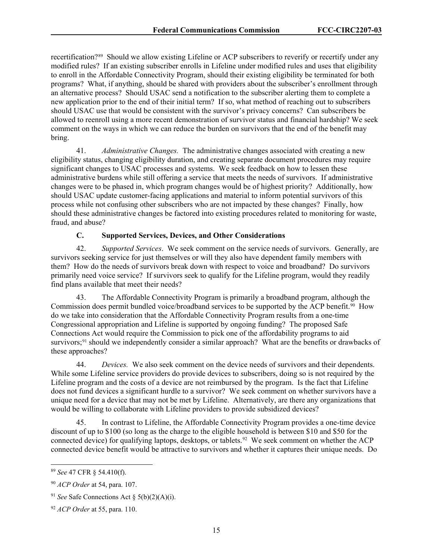recertification?[89](#page-15-0) Should we allow existing Lifeline or ACP subscribers to reverify or recertify under any modified rules? If an existing subscriber enrolls in Lifeline under modified rules and uses that eligibility to enroll in the Affordable Connectivity Program, should their existing eligibility be terminated for both programs? What, if anything, should be shared with providers about the subscriber's enrollment through an alternative process? Should USAC send a notification to the subscriber alerting them to complete a new application prior to the end of their initial term? If so, what method of reaching out to subscribers should USAC use that would be consistent with the survivor's privacy concerns? Can subscribers be allowed to reenroll using a more recent demonstration of survivor status and financial hardship? We seek comment on the ways in which we can reduce the burden on survivors that the end of the benefit may bring.

41. *Administrative Changes.* The administrative changes associated with creating a new eligibility status, changing eligibility duration, and creating separate document procedures may require significant changes to USAC processes and systems. We seek feedback on how to lessen these administrative burdens while still offering a service that meets the needs of survivors. If administrative changes were to be phased in, which program changes would be of highest priority? Additionally, how should USAC update customer-facing applications and material to inform potential survivors of this process while not confusing other subscribers who are not impacted by these changes? Finally, how should these administrative changes be factored into existing procedures related to monitoring for waste, fraud, and abuse?

# **C. Supported Services, Devices, and Other Considerations**

42. *Supported Services*. We seek comment on the service needs of survivors. Generally, are survivors seeking service for just themselves or will they also have dependent family members with them? How do the needs of survivors break down with respect to voice and broadband? Do survivors primarily need voice service? If survivors seek to qualify for the Lifeline program, would they readily find plans available that meet their needs?

43. The Affordable Connectivity Program is primarily a broadband program, although the Commission does permit bundled voice/broadband services to be supported by the ACP benefit.<sup>[90](#page-15-1)</sup> How do we take into consideration that the Affordable Connectivity Program results from a one-time Congressional appropriation and Lifeline is supported by ongoing funding? The proposed Safe Connections Act would require the Commission to pick one of the affordability programs to aid survivors;<sup>[91](#page-15-2)</sup> should we independently consider a similar approach? What are the benefits or drawbacks of these approaches?

44. *Devices.* We also seek comment on the device needs of survivors and their dependents. While some Lifeline service providers do provide devices to subscribers, doing so is not required by the Lifeline program and the costs of a device are not reimbursed by the program. Is the fact that Lifeline does not fund devices a significant hurdle to a survivor? We seek comment on whether survivors have a unique need for a device that may not be met by Lifeline. Alternatively, are there any organizations that would be willing to collaborate with Lifeline providers to provide subsidized devices?

45. In contrast to Lifeline, the Affordable Connectivity Program provides a one-time device discount of up to \$100 (so long as the charge to the eligible household is between \$10 and \$50 for the connected device) for qualifying laptops, desktops, or tablets.<sup>92</sup> We seek comment on whether the ACP connected device benefit would be attractive to survivors and whether it captures their unique needs. Do

<span id="page-15-0"></span><sup>89</sup> *See* 47 CFR § 54.410(f).

<span id="page-15-1"></span><sup>90</sup> *ACP Order* at 54, para. 107.

<span id="page-15-2"></span><sup>91</sup> *See* Safe Connections Act § 5(b)(2)(A)(i).

<span id="page-15-3"></span><sup>92</sup> *ACP Order* at 55, para. 110.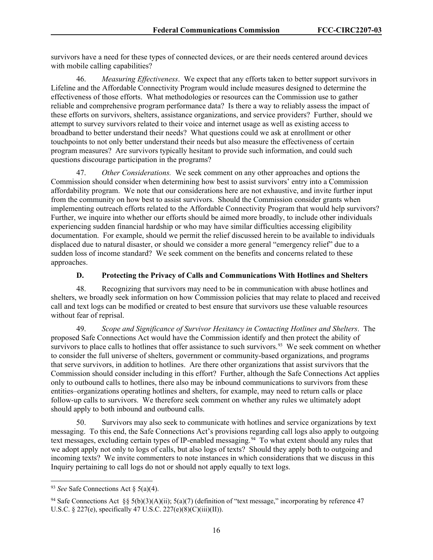survivors have a need for these types of connected devices, or are their needs centered around devices with mobile calling capabilities?

46. *Measuring Effectiveness*. We expect that any efforts taken to better support survivors in Lifeline and the Affordable Connectivity Program would include measures designed to determine the effectiveness of those efforts. What methodologies or resources can the Commission use to gather reliable and comprehensive program performance data? Is there a way to reliably assess the impact of these efforts on survivors, shelters, assistance organizations, and service providers? Further, should we attempt to survey survivors related to their voice and internet usage as well as existing access to broadband to better understand their needs? What questions could we ask at enrollment or other touchpoints to not only better understand their needs but also measure the effectiveness of certain program measures? Are survivors typically hesitant to provide such information, and could such questions discourage participation in the programs?

47. *Other Considerations.* We seek comment on any other approaches and options the Commission should consider when determining how best to assist survivors' entry into a Commission affordability program. We note that our considerations here are not exhaustive, and invite further input from the community on how best to assist survivors. Should the Commission consider grants when implementing outreach efforts related to the Affordable Connectivity Program that would help survivors? Further, we inquire into whether our efforts should be aimed more broadly, to include other individuals experiencing sudden financial hardship or who may have similar difficulties accessing eligibility documentation. For example, should we permit the relief discussed herein to be available to individuals displaced due to natural disaster, or should we consider a more general "emergency relief" due to a sudden loss of income standard? We seek comment on the benefits and concerns related to these approaches.

#### **D. Protecting the Privacy of Calls and Communications With Hotlines and Shelters**

48. Recognizing that survivors may need to be in communication with abuse hotlines and shelters, we broadly seek information on how Commission policies that may relate to placed and received call and text logs can be modified or created to best ensure that survivors use these valuable resources without fear of reprisal.

49. *Scope and Significance of Survivor Hesitancy in Contacting Hotlines and Shelters*. The proposed Safe Connections Act would have the Commission identify and then protect the ability of survivors to place calls to hotlines that offer assistance to such survivors.<sup>93</sup> We seek comment on whether to consider the full universe of shelters, government or community-based organizations, and programs that serve survivors, in addition to hotlines. Are there other organizations that assist survivors that the Commission should consider including in this effort? Further, although the Safe Connections Act applies only to outbound calls to hotlines, there also may be inbound communications to survivors from these entities–organizations operating hotlines and shelters, for example, may need to return calls or place follow-up calls to survivors. We therefore seek comment on whether any rules we ultimately adopt should apply to both inbound and outbound calls.

50. Survivors may also seek to communicate with hotlines and service organizations by text messaging. To this end, the Safe Connections Act's provisions regarding call logs also apply to outgoing text messages, excluding certain types of IP-enabled messaging.[94](#page-16-1) To what extent should any rules that we adopt apply not only to logs of calls, but also logs of texts? Should they apply both to outgoing and incoming texts? We invite commenters to note instances in which considerations that we discuss in this Inquiry pertaining to call logs do not or should not apply equally to text logs.

<span id="page-16-0"></span><sup>93</sup> *See* Safe Connections Act § 5(a)(4).

<span id="page-16-1"></span><sup>&</sup>lt;sup>94</sup> Safe Connections Act §§ 5(b)(3)(A)(ii); 5(a)(7) (definition of "text message," incorporating by reference 47 U.S.C. § 227(e), specifically 47 U.S.C. 227(e)(8)(C)(iii)(II)).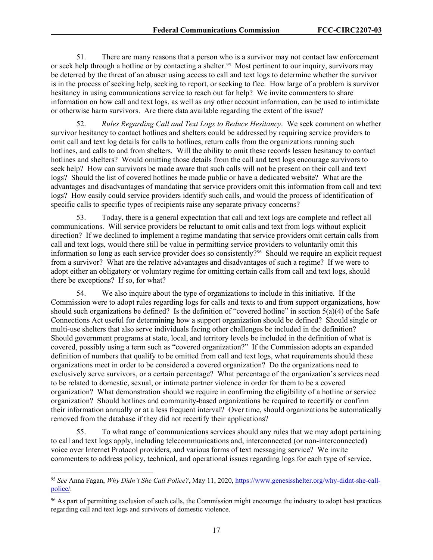51. There are many reasons that a person who is a survivor may not contact law enforcement or seek help through a hotline or by contacting a shelter.<sup>95</sup> Most pertinent to our inquiry, survivors may be deterred by the threat of an abuser using access to call and text logs to determine whether the survivor is in the process of seeking help, seeking to report, or seeking to flee. How large of a problem is survivor hesitancy in using communications service to reach out for help? We invite commenters to share information on how call and text logs, as well as any other account information, can be used to intimidate or otherwise harm survivors. Are there data available regarding the extent of the issue?

52. *Rules Regarding Call and Text Logs to Reduce Hesitancy*. We seek comment on whether survivor hesitancy to contact hotlines and shelters could be addressed by requiring service providers to omit call and text log details for calls to hotlines, return calls from the organizations running such hotlines, and calls to and from shelters. Will the ability to omit these records lessen hesitancy to contact hotlines and shelters? Would omitting those details from the call and text logs encourage survivors to seek help? How can survivors be made aware that such calls will not be present on their call and text logs? Should the list of covered hotlines be made public or have a dedicated website? What are the advantages and disadvantages of mandating that service providers omit this information from call and text logs? How easily could service providers identify such calls, and would the process of identification of specific calls to specific types of recipients raise any separate privacy concerns?

53. Today, there is a general expectation that call and text logs are complete and reflect all communications. Will service providers be reluctant to omit calls and text from logs without explicit direction? If we declined to implement a regime mandating that service providers omit certain calls from call and text logs, would there still be value in permitting service providers to voluntarily omit this information so long as each service provider does so consistently?<sup>[96](#page-17-1)</sup> Should we require an explicit request from a survivor? What are the relative advantages and disadvantages of such a regime? If we were to adopt either an obligatory or voluntary regime for omitting certain calls from call and text logs, should there be exceptions? If so, for what?

54. We also inquire about the type of organizations to include in this initiative. If the Commission were to adopt rules regarding logs for calls and texts to and from support organizations, how should such organizations be defined? Is the definition of "covered hotline" in section  $5(a)(4)$  of the Safe Connections Act useful for determining how a support organization should be defined? Should single or multi-use shelters that also serve individuals facing other challenges be included in the definition? Should government programs at state, local, and territory levels be included in the definition of what is covered, possibly using a term such as "covered organization?" If the Commission adopts an expanded definition of numbers that qualify to be omitted from call and text logs, what requirements should these organizations meet in order to be considered a covered organization? Do the organizations need to exclusively serve survivors, or a certain percentage? What percentage of the organization's services need to be related to domestic, sexual, or intimate partner violence in order for them to be a covered organization? What demonstration should we require in confirming the eligibility of a hotline or service organization? Should hotlines and community-based organizations be required to recertify or confirm their information annually or at a less frequent interval? Over time, should organizations be automatically removed from the database if they did not recertify their applications?

55. To what range of communications services should any rules that we may adopt pertaining to call and text logs apply, including telecommunications and, interconnected (or non-interconnected) voice over Internet Protocol providers, and various forms of text messaging service? We invite commenters to address policy, technical, and operational issues regarding logs for each type of service.

<span id="page-17-0"></span><sup>95</sup> *See* Anna Fagan, *Why Didn't She Call Police?*, May 11, 2020, [https://www.genesisshelter.org/why-didnt-she-call](https://www.genesisshelter.org/why-didnt-she-call-police/)[police/.](https://www.genesisshelter.org/why-didnt-she-call-police/)

<span id="page-17-1"></span><sup>&</sup>lt;sup>96</sup> As part of permitting exclusion of such calls, the Commission might encourage the industry to adopt best practices regarding call and text logs and survivors of domestic violence.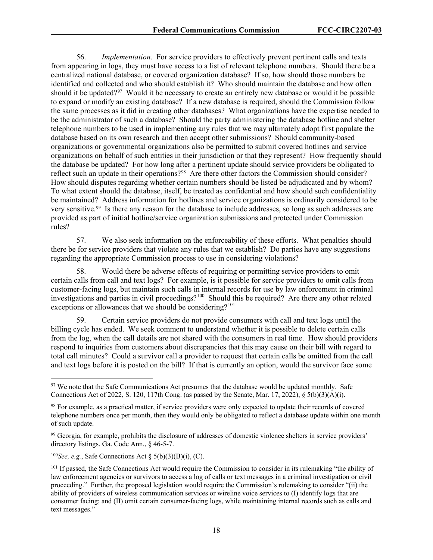56. *Implementation.* For service providers to effectively prevent pertinent calls and texts from appearing in logs, they must have access to a list of relevant telephone numbers. Should there be a centralized national database, or covered organization database? If so, how should those numbers be identified and collected and who should establish it? Who should maintain the database and how often should it be updated?<sup>97</sup> Would it be necessary to create an entirely new database or would it be possible to expand or modify an existing database? If a new database is required, should the Commission follow the same processes as it did in creating other databases? What organizations have the expertise needed to be the administrator of such a database? Should the party administering the database hotline and shelter telephone numbers to be used in implementing any rules that we may ultimately adopt first populate the database based on its own research and then accept other submissions? Should community-based organizations or governmental organizations also be permitted to submit covered hotlines and service organizations on behalf of such entities in their jurisdiction or that they represent? How frequently should the database be updated? For how long after a pertinent update should service providers be obligated to reflect such an update in their operations?<sup>98</sup> Are there other factors the Commission should consider? How should disputes regarding whether certain numbers should be listed be adjudicated and by whom? To what extent should the database, itself, be treated as confidential and how should such confidentiality be maintained? Address information for hotlines and service organizations is ordinarily considered to be very sensitive.<sup>[99](#page-18-2)</sup> Is there any reason for the database to include addresses, so long as such addresses are provided as part of initial hotline/service organization submissions and protected under Commission rules?

57. We also seek information on the enforceability of these efforts. What penalties should there be for service providers that violate any rules that we establish? Do parties have any suggestions regarding the appropriate Commission process to use in considering violations?

58. Would there be adverse effects of requiring or permitting service providers to omit certain calls from call and text logs? For example, is it possible for service providers to omit calls from customer-facing logs, but maintain such calls in internal records for use by law enforcement in criminal investigations and parties in civil proceedings?[100](#page-18-3) Should this be required? Are there any other related exceptions or allowances that we should be considering? $101$ 

59. Certain service providers do not provide consumers with call and text logs until the billing cycle has ended. We seek comment to understand whether it is possible to delete certain calls from the log, when the call details are not shared with the consumers in real time. How should providers respond to inquiries from customers about discrepancies that this may cause on their bill with regard to total call minutes? Could a survivor call a provider to request that certain calls be omitted from the call and text logs before it is posted on the bill? If that is currently an option, would the survivor face some

<span id="page-18-3"></span><sup>100</sup>*See, e.g.*, Safe Connections Act § 5(b)(3)(B)(i), (C).

<span id="page-18-0"></span><sup>&</sup>lt;sup>97</sup> We note that the Safe Communications Act presumes that the database would be updated monthly. Safe Connections Act of 2022, S. 120, 117th Cong. (as passed by the Senate, Mar. 17, 2022),  $\S$  5(b)(3)(A)(i).

<span id="page-18-1"></span><sup>&</sup>lt;sup>98</sup> For example, as a practical matter, if service providers were only expected to update their records of covered telephone numbers once per month, then they would only be obligated to reflect a database update within one month of such update.

<span id="page-18-2"></span><sup>&</sup>lt;sup>99</sup> Georgia, for example, prohibits the disclosure of addresses of domestic violence shelters in service providers' directory listings. Ga. Code Ann., § 46-5-7.

<span id="page-18-4"></span><sup>&</sup>lt;sup>101</sup> If passed, the Safe Connections Act would require the Commission to consider in its rulemaking "the ability of law enforcement agencies or survivors to access a log of calls or text messages in a criminal investigation or civil proceeding." Further, the proposed legislation would require the Commission's rulemaking to consider "(ii) the ability of providers of wireless communication services or wireline voice services to (I) identify logs that are consumer facing; and (II) omit certain consumer-facing logs, while maintaining internal records such as calls and text messages."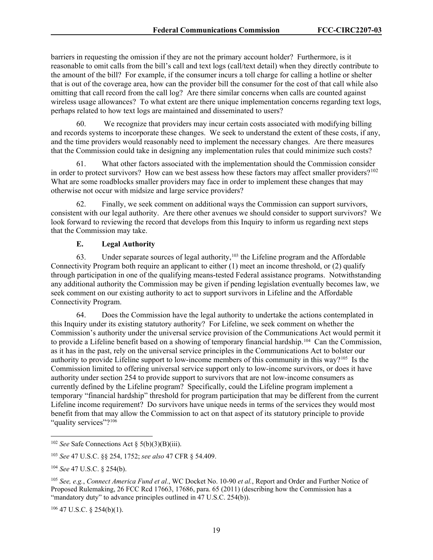barriers in requesting the omission if they are not the primary account holder? Furthermore, is it reasonable to omit calls from the bill's call and text logs (call/text detail) when they directly contribute to the amount of the bill? For example, if the consumer incurs a toll charge for calling a hotline or shelter that is out of the coverage area, how can the provider bill the consumer for the cost of that call while also omitting that call record from the call log? Are there similar concerns when calls are counted against wireless usage allowances? To what extent are there unique implementation concerns regarding text logs, perhaps related to how text logs are maintained and disseminated to users?

60. We recognize that providers may incur certain costs associated with modifying billing and records systems to incorporate these changes. We seek to understand the extent of these costs, if any, and the time providers would reasonably need to implement the necessary changes. Are there measures that the Commission could take in designing any implementation rules that could minimize such costs?

61. What other factors associated with the implementation should the Commission consider in order to protect survivors? How can we best assess how these factors may affect smaller providers?<sup>102</sup> What are some roadblocks smaller providers may face in order to implement these changes that may otherwise not occur with midsize and large service providers?

62. Finally, we seek comment on additional ways the Commission can support survivors, consistent with our legal authority. Are there other avenues we should consider to support survivors? We look forward to reviewing the record that develops from this Inquiry to inform us regarding next steps that the Commission may take.

#### **E. Legal Authority**

63. Under separate sources of legal authority,[103](#page-19-1) the Lifeline program and the Affordable Connectivity Program both require an applicant to either (1) meet an income threshold, or (2) qualify through participation in one of the qualifying means-tested Federal assistance programs. Notwithstanding any additional authority the Commission may be given if pending legislation eventually becomes law, we seek comment on our existing authority to act to support survivors in Lifeline and the Affordable Connectivity Program.

64. Does the Commission have the legal authority to undertake the actions contemplated in this Inquiry under its existing statutory authority? For Lifeline, we seek comment on whether the Commission's authority under the universal service provision of the Communications Act would permit it to provide a Lifeline benefit based on a showing of temporary financial hardship.[104](#page-19-2) Can the Commission, as it has in the past, rely on the universal service principles in the Communications Act to bolster our authority to provide Lifeline support to low-income members of this community in this way?[105](#page-19-3) Is the Commission limited to offering universal service support only to low-income survivors, or does it have authority under section 254 to provide support to survivors that are not low-income consumers as currently defined by the Lifeline program? Specifically, could the Lifeline program implement a temporary "financial hardship" threshold for program participation that may be different from the current Lifeline income requirement? Do survivors have unique needs in terms of the services they would most benefit from that may allow the Commission to act on that aspect of its statutory principle to provide "quality services"?<sup>[106](#page-19-4)</sup>

<span id="page-19-4"></span> $106$  47 U.S.C. § 254(b)(1).

<span id="page-19-0"></span><sup>102</sup> *See* Safe Connections Act § 5(b)(3)(B)(iii).

<span id="page-19-1"></span><sup>103</sup> *See* 47 U.S.C. §§ 254, 1752; *see also* 47 CFR § 54.409.

<span id="page-19-2"></span><sup>104</sup> *See* 47 U.S.C. § 254(b).

<span id="page-19-3"></span><sup>105</sup> *See, e.g.*, *Connect America Fund et al.*, WC Docket No. 10-90 *et al.*, Report and Order and Further Notice of Proposed Rulemaking, 26 FCC Rcd 17663, 17686, para. 65 (2011) (describing how the Commission has a "mandatory duty" to advance principles outlined in 47 U.S.C. 254(b)).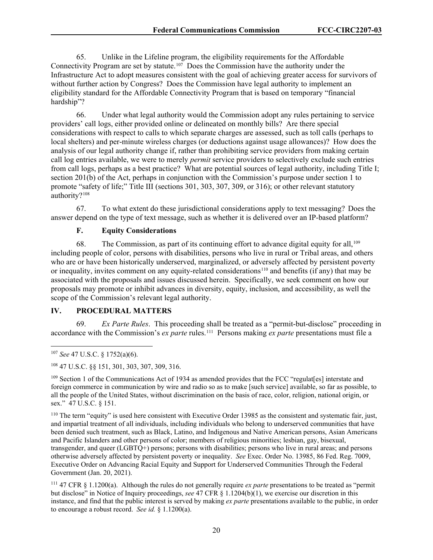65. Unlike in the Lifeline program, the eligibility requirements for the Affordable Connectivity Program are set by statute.<sup>107</sup> Does the Commission have the authority under the Infrastructure Act to adopt measures consistent with the goal of achieving greater access for survivors of without further action by Congress? Does the Commission have legal authority to implement an eligibility standard for the Affordable Connectivity Program that is based on temporary "financial hardship"?

66. Under what legal authority would the Commission adopt any rules pertaining to service providers' call logs, either provided online or delineated on monthly bills? Are there special considerations with respect to calls to which separate charges are assessed, such as toll calls (perhaps to local shelters) and per-minute wireless charges (or deductions against usage allowances)? How does the analysis of our legal authority change if, rather than prohibiting service providers from making certain call log entries available, we were to merely *permit* service providers to selectively exclude such entries from call logs, perhaps as a best practice? What are potential sources of legal authority, including Title I; section 201(b) of the Act, perhaps in conjunction with the Commission's purpose under section 1 to promote "safety of life;" Title III (sections 301, 303, 307, 309, or 316); or other relevant statutory authority?[108](#page-20-1)

67. To what extent do these jurisdictional considerations apply to text messaging? Does the answer depend on the type of text message, such as whether it is delivered over an IP-based platform?

#### **F. Equity Considerations**

68. The Commission, as part of its continuing effort to advance digital equity for all,<sup>[109](#page-20-2)</sup> including people of color, persons with disabilities, persons who live in rural or Tribal areas, and others who are or have been historically underserved, marginalized, or adversely affected by persistent poverty or inequality, invites comment on any equity-related considerations<sup>[110](#page-20-3)</sup> and benefits (if any) that may be associated with the proposals and issues discussed herein. Specifically, we seek comment on how our proposals may promote or inhibit advances in diversity, equity, inclusion, and accessibility, as well the scope of the Commission's relevant legal authority.

### **IV. PROCEDURAL MATTERS**

69. *Ex Parte Rules*. This proceeding shall be treated as a "permit-but-disclose" proceeding in accordance with the Commission's *ex parte* rules.<sup>111</sup> Persons making *ex parte* presentations must file a

<span id="page-20-3"></span><sup>110</sup> The term "equity" is used here consistent with Executive Order 13985 as the consistent and systematic fair, just, and impartial treatment of all individuals, including individuals who belong to underserved communities that have been denied such treatment, such as Black, Latino, and Indigenous and Native American persons, Asian Americans and Pacific Islanders and other persons of color; members of religious minorities; lesbian, gay, bisexual, transgender, and queer (LGBTQ+) persons; persons with disabilities; persons who live in rural areas; and persons otherwise adversely affected by persistent poverty or inequality. *See* Exec. Order No. 13985, 86 Fed. Reg. 7009, Executive Order on Advancing Racial Equity and Support for Underserved Communities Through the Federal Government (Jan. 20, 2021).

<span id="page-20-4"></span><sup>111</sup> 47 CFR § 1.1200(a). Although the rules do not generally require *ex parte* presentations to be treated as "permit but disclose" in Notice of Inquiry proceedings, *see* 47 CFR § 1.1204(b)(1), we exercise our discretion in this instance, and find that the public interest is served by making *ex parte* presentations available to the public, in order to encourage a robust record. *See id.* § 1.1200(a).

<span id="page-20-0"></span><sup>107</sup> *See* 47 U.S.C. § 1752(a)(6).

<span id="page-20-1"></span><sup>108</sup> 47 U.S.C. §§ 151, 301, 303, 307, 309, 316.

<span id="page-20-2"></span><sup>109</sup> Section 1 of the Communications Act of 1934 as amended provides that the FCC "regulat[es] interstate and foreign commerce in communication by wire and radio so as to make [such service] available, so far as possible, to all the people of the United States, without discrimination on the basis of race, color, religion, national origin, or sex." 47 U.S.C. § 151.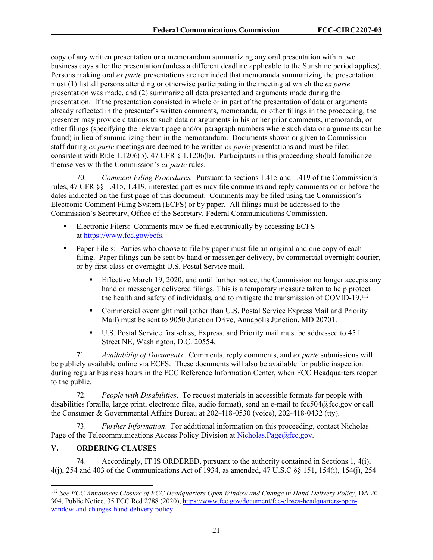copy of any written presentation or a memorandum summarizing any oral presentation within two business days after the presentation (unless a different deadline applicable to the Sunshine period applies). Persons making oral *ex parte* presentations are reminded that memoranda summarizing the presentation must (1) list all persons attending or otherwise participating in the meeting at which the *ex parte*  presentation was made, and (2) summarize all data presented and arguments made during the presentation. If the presentation consisted in whole or in part of the presentation of data or arguments already reflected in the presenter's written comments, memoranda, or other filings in the proceeding, the presenter may provide citations to such data or arguments in his or her prior comments, memoranda, or other filings (specifying the relevant page and/or paragraph numbers where such data or arguments can be found) in lieu of summarizing them in the memorandum. Documents shown or given to Commission staff during *ex parte* meetings are deemed to be written *ex parte* presentations and must be filed consistent with Rule 1.1206(b), 47 CFR § 1.1206(b). Participants in this proceeding should familiarize themselves with the Commission's *ex parte* rules.

70. *Comment Filing Procedures.* Pursuant to sections 1.415 and 1.419 of the Commission's rules, 47 CFR §§ 1.415, 1.419, interested parties may file comments and reply comments on or before the dates indicated on the first page of this document. Comments may be filed using the Commission's Electronic Comment Filing System (ECFS) or by paper. All filings must be addressed to the Commission's Secretary, Office of the Secretary, Federal Communications Commission.

- Electronic Filers: Comments may be filed electronically by accessing ECFS at https://www.fcc.gov/ecfs.
- **Paper Filers: Parties who choose to file by paper must file an original and one copy of each** filing. Paper filings can be sent by hand or messenger delivery, by commercial overnight courier, or by first-class or overnight U.S. Postal Service mail.
	- **Effective March 19, 2020, and until further notice, the Commission no longer accepts any** hand or messenger delivered filings. This is a temporary measure taken to help protect the health and safety of individuals, and to mitigate the transmission of COVID-19.[112](#page-21-0)
	- Commercial overnight mail (other than U.S. Postal Service Express Mail and Priority Mail) must be sent to 9050 Junction Drive, Annapolis Junction, MD 20701.
	- U.S. Postal Service first-class, Express, and Priority mail must be addressed to 45 L Street NE, Washington, D.C. 20554.

71. *Availability of Documents*. Comments, reply comments, and *ex parte* submissions will be publicly available online via ECFS. These documents will also be available for public inspection during regular business hours in the FCC Reference Information Center, when FCC Headquarters reopen to the public.

72. *People with Disabilities*. To request materials in accessible formats for people with disabilities (braille, large print, electronic files, audio format), send an e-mail to fcc504@fcc.gov or call the Consumer & Governmental Affairs Bureau at 202-418-0530 (voice), 202-418-0432 (tty).

73. *Further Information*. For additional information on this proceeding, contact Nicholas Page of the Telecommunications Access Policy Division at Nicholas.Page@fcc.gov.

# **V. ORDERING CLAUSES**

74. Accordingly, IT IS ORDERED, pursuant to the authority contained in Sections 1, 4(i), 4(j), 254 and 403 of the Communications Act of 1934, as amended, 47 U.S.C §§ 151, 154(i), 154(j), 254

<span id="page-21-0"></span><sup>112</sup> *See FCC Announces Closure of FCC Headquarters Open Window and Change in Hand-Delivery Policy*, DA 20- 304, Public Notice, 35 FCC Rcd 2788 (2020), https://www.fcc.gov/document/fcc-closes-headquarters-openwindow-and-changes-hand-delivery-policy.